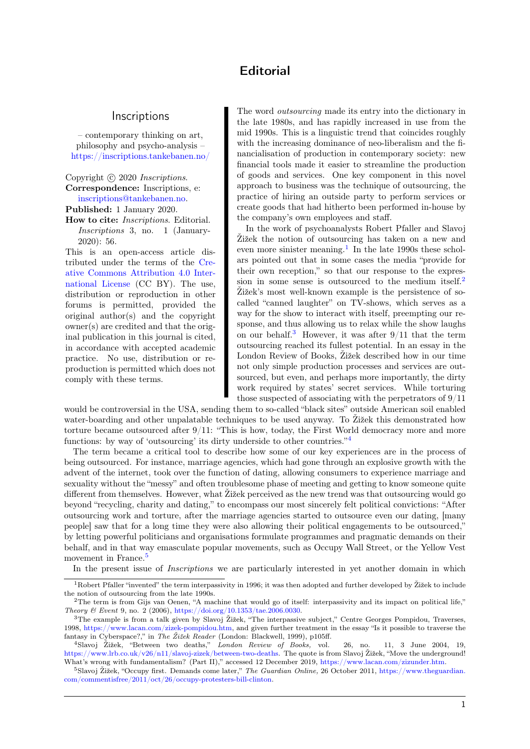## **Editorial**

## **Inscriptions**

<span id="page-0-0"></span>– contemporary thinking on art, philosophy and psycho-analysis – [https://inscriptions.tankebanen.no/](https://inscriptions.tankebanen.no)

Copyright (c) 2020 Inscriptions. Correspondence: Inscriptions, e: [inscriptions@tankebanen.no.](mailto:inscriptions@tankebanen.no)

Published: 1 January 2020.

How to cite: Inscriptions. Editorial. Inscriptions 3, no. 1 (January-2020): 56.

This is an open-access article distributed under the terms of the [Cre](http://creativecommons.org/licenses/by/4.0/)[ative Commons Attribution 4.0 Inter](http://creativecommons.org/licenses/by/4.0/)[national License](http://creativecommons.org/licenses/by/4.0/) (CC BY). The use, distribution or reproduction in other forums is permitted, provided the original author(s) and the copyright owner(s) are credited and that the original publication in this journal is cited, in accordance with accepted academic practice. No use, distribution or reproduction is permitted which does not comply with these terms.

The word outsourcing made its entry into the dictionary in the late 1980s, and has rapidly increased in use from the mid 1990s. This is a linguistic trend that coincides roughly with the increasing dominance of neo-liberalism and the financialisation of production in contemporary society: new financial tools made it easier to streamline the production of goods and services. One key component in this novel approach to business was the technique of outsourcing, the practice of hiring an outside party to perform services or create goods that had hitherto been performed in-house by the company's own employees and staff.

In the work of psychoanalysts Robert Pfaller and Slavoj Žižek the notion of outsourcing has taken on a new and even more sinister meaning.<sup>1</sup> In the late 1990s these scholars pointed out that in some cases the media "provide for their own reception," so that our response to the expression in some sense is outsourced to the medium itself.<sup>2</sup> Žižek's most well-known example is the persistence of socalled "canned laughter" on TV-shows, which serves as a way for the show to interact with itself, preempting our response, and thus allowing us to relax while the show laughs on our behalf.<sup>3</sup> However, it was after  $9/11$  that the term outsourcing reached its fullest potential. In an essay in the London Review of Books, Žižek described how in our time not only simple production processes and services are outsourced, but even, and perhaps more importantly, the dirty work required by states' secret services. While torturing those suspected of associating with the perpetrators of 9/11

would be controversial in the USA, sending them to so-called "black sites" outside American soil enabled water-boarding and other unpalatable techniques to be used anyway. To Žižek this demonstrated how torture became outsourced after 9/11: "This is how, today, the First World democracy more and more functions: by way of 'outsourcing' its dirty underside to other countries."<sup>4</sup>

The term became a critical tool to describe how some of our key experiences are in the process of being outsourced. For instance, marriage agencies, which had gone through an explosive growth with the advent of the internet, took over the function of dating, allowing consumers to experience marriage and sexuality without the "messy" and often troublesome phase of meeting and getting to know someone quite different from themselves. However, what Žižek perceived as the new trend was that outsourcing would go beyond "recycling, charity and dating," to encompass our most sincerely felt political convictions: "After outsourcing work and torture, after the marriage agencies started to outsource even our dating, [many people] saw that for a long time they were also allowing their political engagements to be outsourced," by letting powerful politicians and organisations formulate programmes and pragmatic demands on their behalf, and in that way emasculate popular movements, such as Occupy Wall Street, or the Yellow Vest movement in France.<sup>5</sup>

In the present issue of *Inscriptions* we are particularly interested in yet another domain in which

<sup>&</sup>lt;sup>1</sup>Robert Pfaller "invented" the term interpassivity in 1996; it was then adopted and further developed by  $\tilde{Z}$ ižek to include the notion of outsourcing from the late 1990s.

<sup>&</sup>lt;sup>2</sup>The term is from Gijs van Oenen, "A machine that would go of itself: interpassivity and its impact on political life," Theory & Event 9, no. 2 (2006), [https://doi.org/10.1353/tae.2006.0030.]( https://doi.org/10.1353/tae.2006.0030)

 ${}^{3}$ The example is from a talk given by Slavoj Žižek, "The interpassive subject," Centre Georges Pompidou, Traverses, 1998, [https://www.lacan.com/zizek-pompidou.htm,](https://www.lacan.com/zizek-pompidou.htm) and given further treatment in the essay "Is it possible to traverse the fantasy in Cyberspace?," in The Žižek Reader (London: Blackwell, 1999), p105ff.

<sup>4</sup>Slavoj Žižek, "Between two deaths," London Review of Books, vol. 26, no. 11, 3 June 2004, 19, [https://www.lrb.co.uk/v26/n11/slavoj-zizek/between-two-deaths.](https://www.lrb.co.uk/v26/n11/slavoj-zizek/between-two-deaths) The quote is from Slavoj Žižek, "Move the underground! What's wrong with fundamentalism? (Part II)," accessed 12 December 2019, [https://www.lacan.com/zizunder.htm.](https://www.lacan.com/zizunder.htm)

<sup>5</sup>Slavoj Žižek, "Occupy first. Demands come later," The Guardian Online, 26 October 2011, [https://www.theguardian.](https://www.theguardian.com/commentisfree/2011/oct/26/occupy-protesters-bill-clinton) [com/commentisfree/2011/oct/26/occupy-protesters-bill-clinton.](https://www.theguardian.com/commentisfree/2011/oct/26/occupy-protesters-bill-clinton)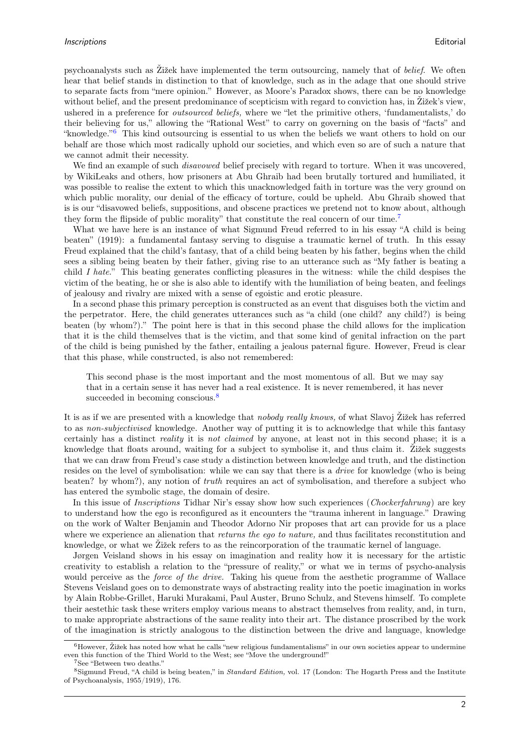psychoanalysts such as Žižek have implemented the term outsourcing, namely that of belief. We often hear that belief stands in distinction to that of knowledge, such as in the adage that one should strive to separate facts from "mere opinion." However, as Moore's Paradox shows, there can be no knowledge without belief, and the present predominance of scepticism with regard to conviction has, in Žižek's view, ushered in a preference for *outsourced beliefs*, where we "let the primitive others, 'fundamentalists,' do their believing for us," allowing the "Rational West" to carry on governing on the basis of "facts" and "knowledge."[6](#page-0-0) This kind outsourcing is essential to us when the beliefs we want others to hold on our behalf are those which most radically uphold our societies, and which even so are of such a nature that we cannot admit their necessity.

We find an example of such *disavowed* belief precisely with regard to torture. When it was uncovered, by WikiLeaks and others, how prisoners at Abu Ghraib had been brutally tortured and humiliated, it was possible to realise the extent to which this unacknowledged faith in torture was the very ground on which public morality, our denial of the efficacy of torture, could be upheld. Abu Ghraib showed that is is our "disavowed beliefs, suppositions, and obscene practices we pretend not to know about, although they form the flipside of public morality" that constitute the real concern of our time.[7](#page-0-0)

What we have here is an instance of what Sigmund Freud referred to in his essay "A child is being beaten" (1919): a fundamental fantasy serving to disguise a traumatic kernel of truth. In this essay Freud explained that the child's fantasy, that of a child being beaten by his father, begins when the child sees a sibling being beaten by their father, giving rise to an utterance such as "My father is beating a child I hate." This beating generates conflicting pleasures in the witness: while the child despises the victim of the beating, he or she is also able to identify with the humiliation of being beaten, and feelings of jealousy and rivalry are mixed with a sense of egoistic and erotic pleasure.

In a second phase this primary perception is constructed as an event that disguises both the victim and the perpetrator. Here, the child generates utterances such as "a child (one child? any child?) is being beaten (by whom?)." The point here is that in this second phase the child allows for the implication that it is the child themselves that is the victim, and that some kind of genital infraction on the part of the child is being punished by the father, entailing a jealous paternal figure. However, Freud is clear that this phase, while constructed, is also not remembered:

This second phase is the most important and the most momentous of all. But we may say that in a certain sense it has never had a real existence. It is never remembered, it has never succeeded in becoming conscious.<sup>[8](#page-0-0)</sup>

It is as if we are presented with a knowledge that nobody really knows, of what Slavoj Žižek has referred to as non-subjectivised knowledge. Another way of putting it is to acknowledge that while this fantasy certainly has a distinct reality it is not claimed by anyone, at least not in this second phase; it is a knowledge that floats around, waiting for a subject to symbolise it, and thus claim it. Žižek suggests that we can draw from Freud's case study a distinction between knowledge and truth, and the distinction resides on the level of symbolisation: while we can say that there is a *drive* for knowledge (who is being beaten? by whom?), any notion of truth requires an act of symbolisation, and therefore a subject who has entered the symbolic stage, the domain of desire.

In this issue of *Inscriptions* Tidhar Nir's essay show how such experiences (*Chockerfahrung*) are key to understand how the ego is reconfigured as it encounters the "trauma inherent in language." Drawing on the work of Walter Benjamin and Theodor Adorno Nir proposes that art can provide for us a place where we experience an alienation that *returns the ego to nature*, and thus facilitates reconstitution and knowledge, or what we Žižek refers to as the reincorporation of the traumatic kernel of language.

Jørgen Veisland shows in his essay on imagination and reality how it is necessary for the artistic creativity to establish a relation to the "pressure of reality," or what we in terms of psycho-analysis would perceive as the *force of the drive*. Taking his queue from the aesthetic programme of Wallace Stevens Veisland goes on to demonstrate ways of abstracting reality into the poetic imagination in works by Alain Robbe-Grillet, Haruki Murakami, Paul Auster, Bruno Schulz, and Stevens himself. To complete their aestethic task these writers employ various means to abstract themselves from reality, and, in turn, to make appropriate abstractions of the same reality into their art. The distance proscribed by the work of the imagination is strictly analogous to the distinction between the drive and language, knowledge

 $6$ However, Žižek has noted how what he calls "new religious fundamentalisms" in our own societies appear to undermine even this function of the Third World to the West; see "Move the underground!"

<sup>7</sup>See "Between two deaths."

<sup>8</sup>Sigmund Freud, "A child is being beaten," in Standard Edition, vol. 17 (London: The Hogarth Press and the Institute of Psychoanalysis, 1955/1919), 176.